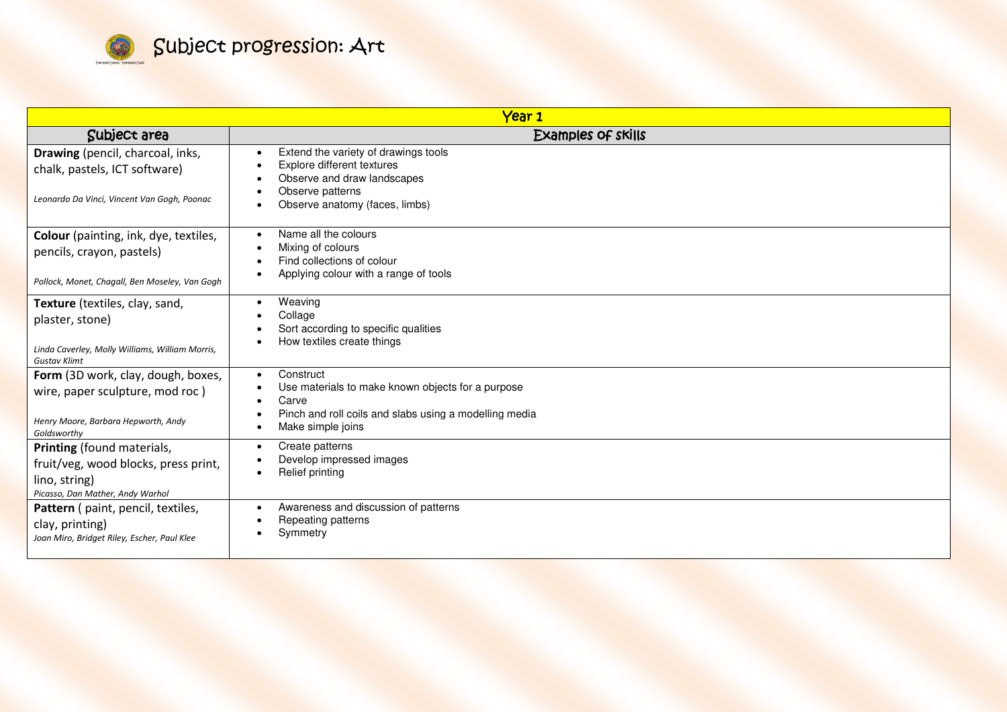

| Year <sub>1</sub>                                                                                                           |                                                                                                                                                                                  |
|-----------------------------------------------------------------------------------------------------------------------------|----------------------------------------------------------------------------------------------------------------------------------------------------------------------------------|
| Subject area                                                                                                                | Examples of skills                                                                                                                                                               |
| Drawing (pencil, charcoal, inks,<br>chalk, pastels, ICT software)<br>Leonardo Da Vinci, Vincent Van Gogh, Poonac            | Extend the variety of drawings tools<br>Explore different textures<br>Observe and draw landscapes<br>Observe patterns<br>Observe anatomy (faces, limbs)<br>$\bullet$             |
| Colour (painting, ink, dye, textiles,<br>pencils, crayon, pastels)<br>Pollock, Monet, Chagall, Ben Moseley, Van Gogh        | Name all the colours<br>Mixing of colours<br>Find collections of colour<br>Applying colour with a range of tools                                                                 |
| Texture (textiles, clay, sand,<br>plaster, stone)<br>Linda Caverley, Molly Williams, William Morris,<br><b>Gustav Klimt</b> | Weaving<br>$\bullet$<br>Collage<br>Sort according to specific qualities<br>How textiles create things                                                                            |
| Form (3D work, clay, dough, boxes,<br>wire, paper sculpture, mod roc)<br>Henry Moore, Barbara Hepworth, Andy<br>Goldsworthy | Construct<br>$\bullet$<br>Use materials to make known objects for a purpose<br>Carve<br>$\bullet$<br>Pinch and roll coils and slabs using a modelling media<br>Make simple joins |
| Printing (found materials,<br>fruit/veg, wood blocks, press print,<br>lino, string)<br>Picasso, Dan Mather, Andy Warhol     | Create patterns<br>$\bullet$<br>Develop impressed images<br>Relief printing                                                                                                      |
| Pattern ( paint, pencil, textiles,<br>clay, printing)<br>Joan Miro, Bridget Riley, Escher, Paul Klee                        | Awareness and discussion of patterns<br>Repeating patterns<br>Symmetry                                                                                                           |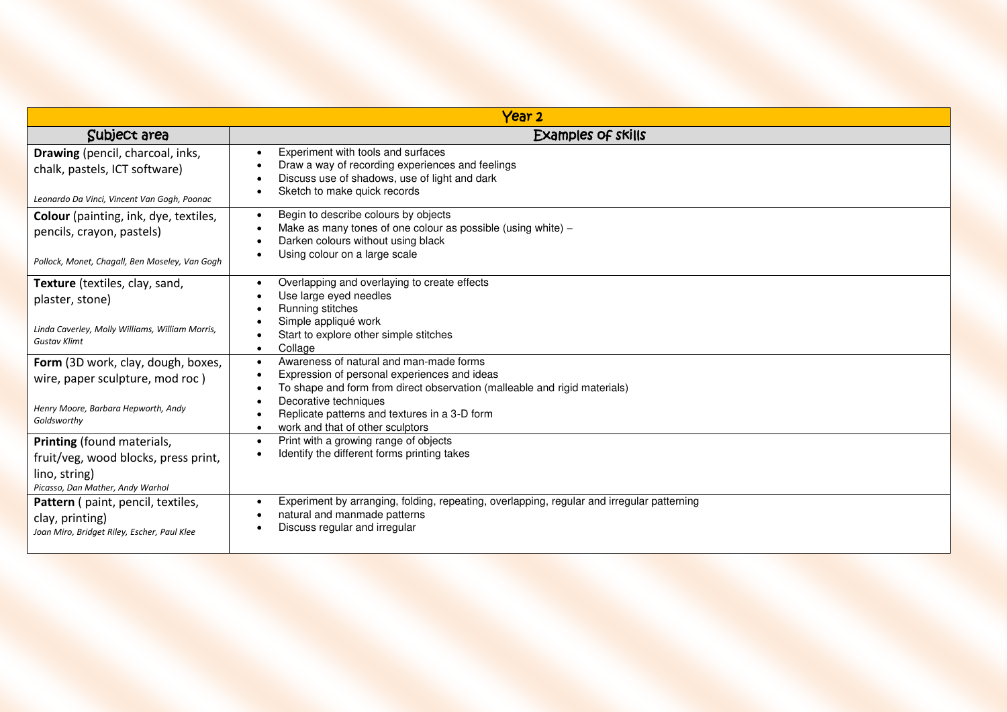| Year 2                                                                                                                                 |                                                                                                                                                                                                                                                                                     |  |
|----------------------------------------------------------------------------------------------------------------------------------------|-------------------------------------------------------------------------------------------------------------------------------------------------------------------------------------------------------------------------------------------------------------------------------------|--|
| Subject area                                                                                                                           | Examples of skills                                                                                                                                                                                                                                                                  |  |
| Drawing (pencil, charcoal, inks,<br>chalk, pastels, ICT software)<br>Leonardo Da Vinci, Vincent Van Gogh, Poonac                       | Experiment with tools and surfaces<br>Draw a way of recording experiences and feelings<br>Discuss use of shadows, use of light and dark<br>Sketch to make quick records                                                                                                             |  |
| Colour (painting, ink, dye, textiles,<br>pencils, crayon, pastels)<br>Pollock, Monet, Chagall, Ben Moseley, Van Gogh                   | Begin to describe colours by objects<br>$\bullet$<br>Make as many tones of one colour as possible (using white) -<br>Darken colours without using black<br>Using colour on a large scale                                                                                            |  |
| Texture (textiles, clay, sand,<br>plaster, stone)<br>Linda Caverley, Molly Williams, William Morris,                                   | Overlapping and overlaying to create effects<br>Use large eyed needles<br>Running stitches<br>Simple appliqué work<br>Start to explore other simple stitches                                                                                                                        |  |
| <b>Gustav Klimt</b><br>Form (3D work, clay, dough, boxes,<br>wire, paper sculpture, mod roc)<br>Henry Moore, Barbara Hepworth, Andy    | Collage<br>$\bullet$<br>Awareness of natural and man-made forms<br>$\bullet$<br>Expression of personal experiences and ideas<br>To shape and form from direct observation (malleable and rigid materials)<br>Decorative techniques<br>Replicate patterns and textures in a 3-D form |  |
| Goldsworthy<br>Printing (found materials,<br>fruit/veg, wood blocks, press print,<br>lino, string)<br>Picasso, Dan Mather, Andy Warhol | work and that of other sculptors<br>$\bullet$<br>Print with a growing range of objects<br>Identify the different forms printing takes                                                                                                                                               |  |
| Pattern ( paint, pencil, textiles,<br>clay, printing)<br>Joan Miro, Bridget Riley, Escher, Paul Klee                                   | Experiment by arranging, folding, repeating, overlapping, regular and irregular patterning<br>natural and manmade patterns<br>Discuss regular and irregular                                                                                                                         |  |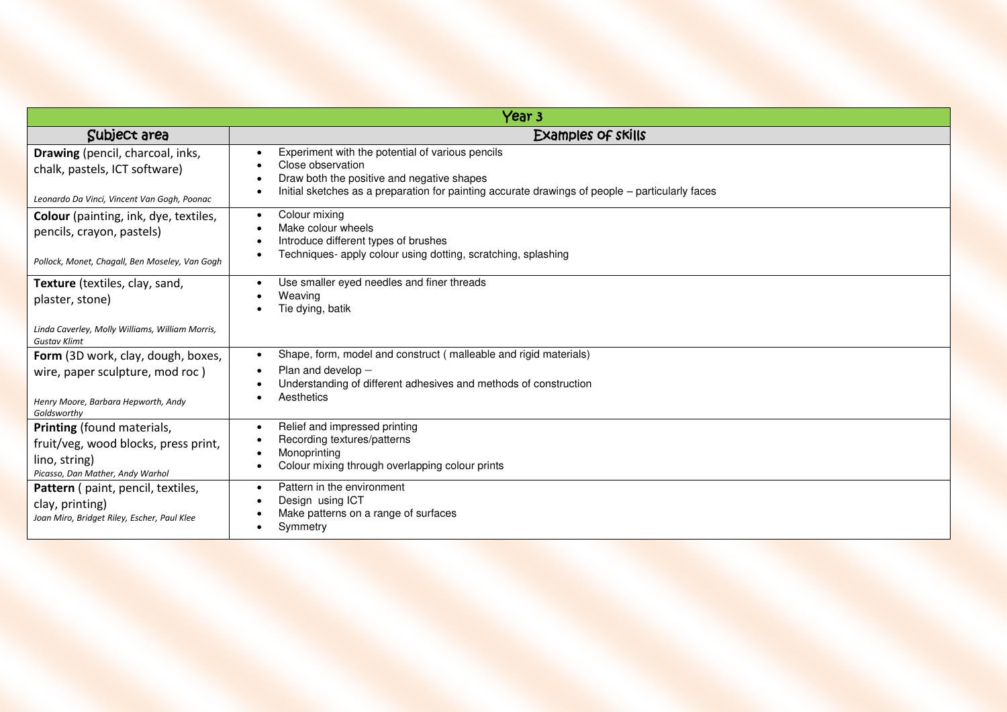| Year <sub>3</sub>                                                                                                           |                                                                                                                                                                                                                        |  |
|-----------------------------------------------------------------------------------------------------------------------------|------------------------------------------------------------------------------------------------------------------------------------------------------------------------------------------------------------------------|--|
| Subject area                                                                                                                | <b>Examples of skills</b>                                                                                                                                                                                              |  |
| Drawing (pencil, charcoal, inks,<br>chalk, pastels, ICT software)<br>Leonardo Da Vinci, Vincent Van Gogh, Poonac            | Experiment with the potential of various pencils<br>Close observation<br>Draw both the positive and negative shapes<br>Initial sketches as a preparation for painting accurate drawings of people – particularly faces |  |
| <b>Colour</b> (painting, ink, dye, textiles,<br>pencils, crayon, pastels)<br>Pollock, Monet, Chagall, Ben Moseley, Van Gogh | Colour mixing<br>$\bullet$<br>Make colour wheels<br>Introduce different types of brushes<br>Techniques- apply colour using dotting, scratching, splashing                                                              |  |
| Texture (textiles, clay, sand,<br>plaster, stone)<br>Linda Caverley, Molly Williams, William Morris,                        | Use smaller eyed needles and finer threads<br>Weaving<br>Tie dying, batik                                                                                                                                              |  |
| <b>Gustav Klimt</b>                                                                                                         | Shape, form, model and construct (malleable and rigid materials)<br>$\bullet$                                                                                                                                          |  |
| Form (3D work, clay, dough, boxes,<br>wire, paper sculpture, mod roc)<br>Henry Moore, Barbara Hepworth, Andy<br>Goldsworthy | Plan and develop $-$<br>Understanding of different adhesives and methods of construction<br>Aesthetics                                                                                                                 |  |
| Printing (found materials,<br>fruit/veg, wood blocks, press print,<br>lino, string)<br>Picasso, Dan Mather, Andy Warhol     | Relief and impressed printing<br>Recording textures/patterns<br>Monoprinting<br>Colour mixing through overlapping colour prints                                                                                        |  |
| Pattern ( paint, pencil, textiles,<br>clay, printing)<br>Joan Miro, Bridget Riley, Escher, Paul Klee                        | Pattern in the environment<br>Design using ICT<br>Make patterns on a range of surfaces<br>Symmetry                                                                                                                     |  |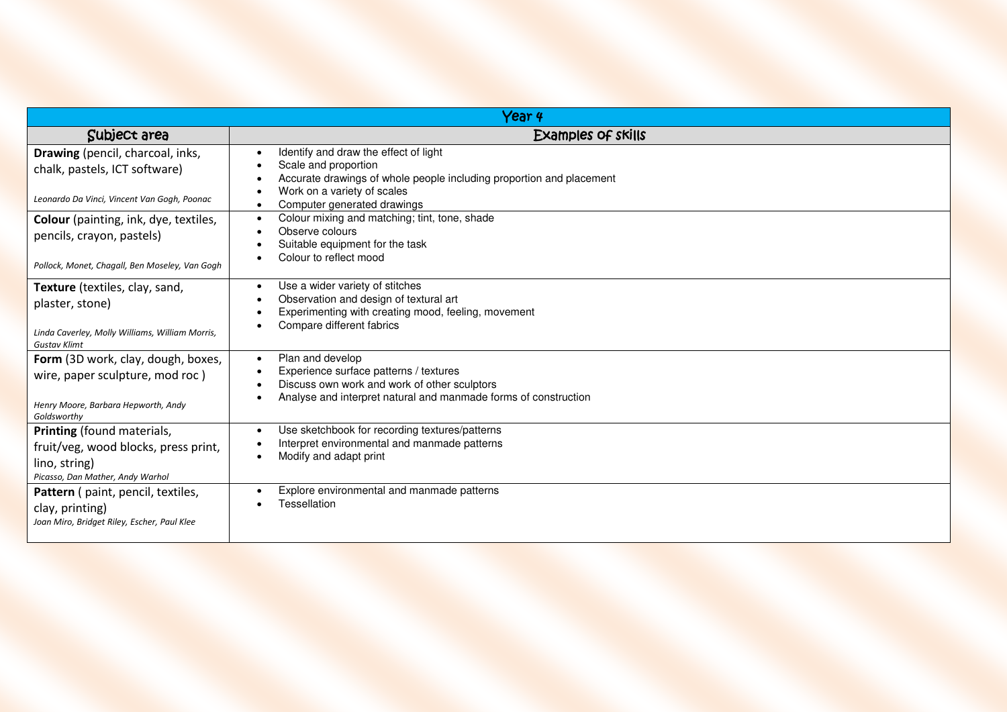| Year 4                                                                                                                                                    |                                                                                                                                                                                                                                                                   |  |
|-----------------------------------------------------------------------------------------------------------------------------------------------------------|-------------------------------------------------------------------------------------------------------------------------------------------------------------------------------------------------------------------------------------------------------------------|--|
| Subject area                                                                                                                                              | Examples of skills                                                                                                                                                                                                                                                |  |
| Drawing (pencil, charcoal, inks,<br>chalk, pastels, ICT software)<br>Leonardo Da Vinci, Vincent Van Gogh, Poonac<br>Colour (painting, ink, dye, textiles, | Identify and draw the effect of light<br>Scale and proportion<br>Accurate drawings of whole people including proportion and placement<br>Work on a variety of scales<br>Computer generated drawings<br>Colour mixing and matching; tint, tone, shade<br>$\bullet$ |  |
| pencils, crayon, pastels)<br>Pollock, Monet, Chagall, Ben Moseley, Van Gogh                                                                               | Observe colours<br>Suitable equipment for the task<br>Colour to reflect mood                                                                                                                                                                                      |  |
| Texture (textiles, clay, sand,<br>plaster, stone)<br>Linda Caverley, Molly Williams, William Morris,<br><b>Gustav Klimt</b>                               | Use a wider variety of stitches<br>$\bullet$<br>Observation and design of textural art<br>Experimenting with creating mood, feeling, movement<br>Compare different fabrics                                                                                        |  |
| Form (3D work, clay, dough, boxes,<br>wire, paper sculpture, mod roc)<br>Henry Moore, Barbara Hepworth, Andy<br>Goldsworthy                               | Plan and develop<br>$\bullet$<br>Experience surface patterns / textures<br>Discuss own work and work of other sculptors<br>Analyse and interpret natural and manmade forms of construction                                                                        |  |
| Printing (found materials,<br>fruit/veg, wood blocks, press print,<br>lino, string)<br>Picasso, Dan Mather, Andy Warhol                                   | Use sketchbook for recording textures/patterns<br>Interpret environmental and manmade patterns<br>Modify and adapt print                                                                                                                                          |  |
| Pattern ( paint, pencil, textiles,<br>clay, printing)<br>Joan Miro, Bridget Riley, Escher, Paul Klee                                                      | Explore environmental and manmade patterns<br>Tessellation                                                                                                                                                                                                        |  |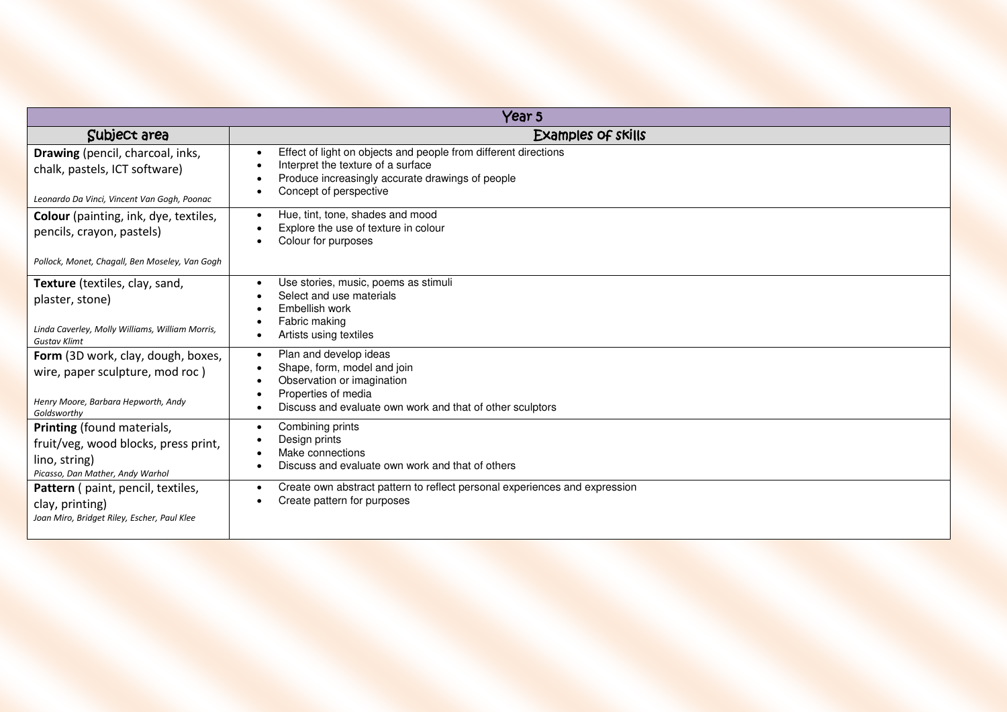| Year 5                                                                                                                      |                                                                                                                                                                                     |  |
|-----------------------------------------------------------------------------------------------------------------------------|-------------------------------------------------------------------------------------------------------------------------------------------------------------------------------------|--|
| Subject area                                                                                                                | Examples of skills                                                                                                                                                                  |  |
| Drawing (pencil, charcoal, inks,<br>chalk, pastels, ICT software)<br>Leonardo Da Vinci, Vincent Van Gogh, Poonac            | Effect of light on objects and people from different directions<br>Interpret the texture of a surface<br>Produce increasingly accurate drawings of people<br>Concept of perspective |  |
| Colour (painting, ink, dye, textiles,<br>pencils, crayon, pastels)<br>Pollock, Monet, Chagall, Ben Moseley, Van Gogh        | Hue, tint, tone, shades and mood<br>Explore the use of texture in colour<br>Colour for purposes                                                                                     |  |
| Texture (textiles, clay, sand,<br>plaster, stone)<br>Linda Caverley, Molly Williams, William Morris,<br><b>Gustav Klimt</b> | Use stories, music, poems as stimuli<br>Select and use materials<br>Embellish work<br>Fabric making<br>Artists using textiles                                                       |  |
| Form (3D work, clay, dough, boxes,<br>wire, paper sculpture, mod roc)<br>Henry Moore, Barbara Hepworth, Andy<br>Goldsworthy | Plan and develop ideas<br>Shape, form, model and join<br>Observation or imagination<br>Properties of media<br>Discuss and evaluate own work and that of other sculptors             |  |
| Printing (found materials,<br>fruit/veg, wood blocks, press print,<br>lino, string)<br>Picasso, Dan Mather, Andy Warhol     | Combining prints<br>Design prints<br>Make connections<br>Discuss and evaluate own work and that of others                                                                           |  |
| Pattern ( paint, pencil, textiles,<br>clay, printing)<br>Joan Miro, Bridget Riley, Escher, Paul Klee                        | Create own abstract pattern to reflect personal experiences and expression<br>Create pattern for purposes                                                                           |  |